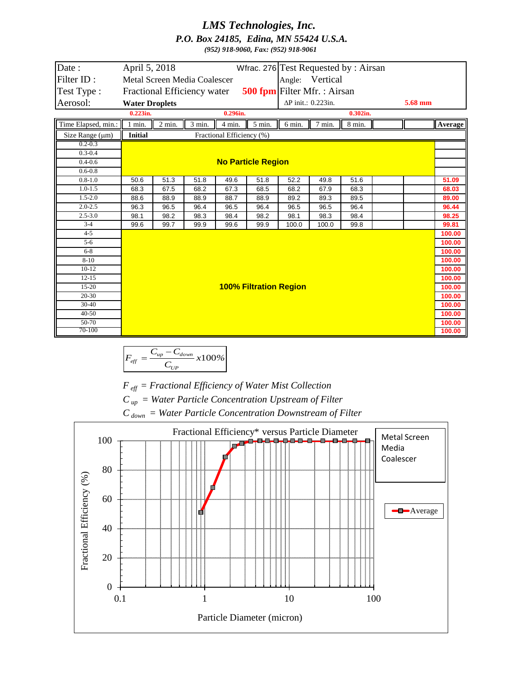## *LMS Technologies, Inc. P.O. Box 24185, Edina, MN 55424 U.S.A. (952) 918-9060, Fax: (952) 918-9061*

| Date:                | Wfrac. 276 Test Requested by: Airsan<br>April 5, 2018       |                                                             |          |        |          |                    |        |                  |  |         |         |
|----------------------|-------------------------------------------------------------|-------------------------------------------------------------|----------|--------|----------|--------------------|--------|------------------|--|---------|---------|
| Filter ID:           | Angle: Vertical<br>Metal Screen Media Coalescer             |                                                             |          |        |          |                    |        |                  |  |         |         |
| Test Type:           | 500 fpm Filter Mfr. : Airsan<br>Fractional Efficiency water |                                                             |          |        |          |                    |        |                  |  |         |         |
| Aerosol:             |                                                             |                                                             |          |        |          | ΔP init.: 0.223in. |        |                  |  | 5.68 mm |         |
|                      | <b>Water Droplets</b><br>$0.223$ in.                        |                                                             | 0.296in. |        |          | $0.302$ in.        |        |                  |  |         |         |
|                      |                                                             |                                                             |          |        |          |                    |        |                  |  |         |         |
| Time Elapsed, min.:  | $1$ min.                                                    | $\overline{2}$ min.                                         | 3 min.   | 4 min. | $5$ min. | 6 min.             | 7 min. | $8 \text{ min.}$ |  |         | Average |
| Size Range $(\mu m)$ | <b>Initial</b><br>Fractional Efficiency (%)                 |                                                             |          |        |          |                    |        |                  |  |         |         |
| $0.2 - 0.3$          |                                                             |                                                             |          |        |          |                    |        |                  |  |         |         |
| $0.3 - 0.4$          |                                                             |                                                             |          |        |          |                    |        |                  |  |         |         |
| $0.4 - 0.6$          | <b>No Particle Region</b>                                   |                                                             |          |        |          |                    |        |                  |  |         |         |
| $0.6 - 0.8$          |                                                             |                                                             |          |        |          |                    |        |                  |  |         |         |
| $0.8 - 1.0$          | 50.6                                                        | 51.3                                                        | 51.8     | 49.6   | 51.8     | 52.2               | 49.8   | 51.6             |  |         | 51.09   |
| $1.0 - 1.5$          | 68.3                                                        | 67.5                                                        | 68.2     | 67.3   | 68.5     | 68.2               | 67.9   | 68.3             |  |         | 68.03   |
| $1.5 - 2.0$          | 88.6                                                        | 88.9                                                        | 88.9     | 88.7   | 88.9     | 89.2               | 89.3   | 89.5             |  |         | 89.00   |
| $2.0 - 2.5$          | 96.3                                                        | 96.5                                                        | 96.4     | 96.5   | 96.4     | 96.5               | 96.5   | 96.4             |  |         | 96.44   |
| $2.5 - 3.0$          | 98.1                                                        | 98.2                                                        | 98.3     | 98.4   | 98.2     | 98.1               | 98.3   | 98.4             |  |         | 98.25   |
| $3-4$                | 99.6                                                        | 99.7                                                        | 99.9     | 99.6   | 99.9     | 100.0              | 100.0  | 99.8             |  |         | 99.81   |
| $4 - 5$              |                                                             |                                                             |          |        |          |                    |        |                  |  |         | 100.00  |
| $5-6$                |                                                             |                                                             |          |        |          |                    |        |                  |  |         | 100.00  |
| $6 - 8$              |                                                             |                                                             |          |        |          |                    |        |                  |  |         | 100.00  |
| $8 - 10$             |                                                             |                                                             |          |        |          |                    |        |                  |  |         | 100.00  |
| $10-12$              |                                                             | 100.00<br>100.00<br><b>100% Filtration Region</b><br>100.00 |          |        |          |                    |        |                  |  |         |         |
| $12 - 15$            |                                                             |                                                             |          |        |          |                    |        |                  |  |         |         |
| $15-20$              |                                                             |                                                             |          |        |          |                    |        |                  |  |         |         |
| $20-30$              |                                                             |                                                             |          |        |          |                    |        |                  |  |         | 100.00  |
| $30 - 40$            |                                                             |                                                             |          |        |          |                    |        |                  |  |         | 100.00  |
| $40 - 50$            |                                                             |                                                             |          |        |          |                    |        |                  |  |         | 100.00  |
| 50-70                |                                                             |                                                             |          |        |          |                    |        |                  |  |         | 100.00  |
| 70-100               |                                                             |                                                             |          |        |          |                    |        |                  |  |         | 100.00  |

$$
F_{\text{eff}} = \frac{C_{\text{up}} - C_{\text{down}}}{C_{\text{up}}} \times 100\%
$$

*F eff = Fractional Efficiency of Water Mist Collection*

*C up = Water Particle Concentration Upstream of Filter*

*C down = Water Particle Concentration Downstream of Filter*